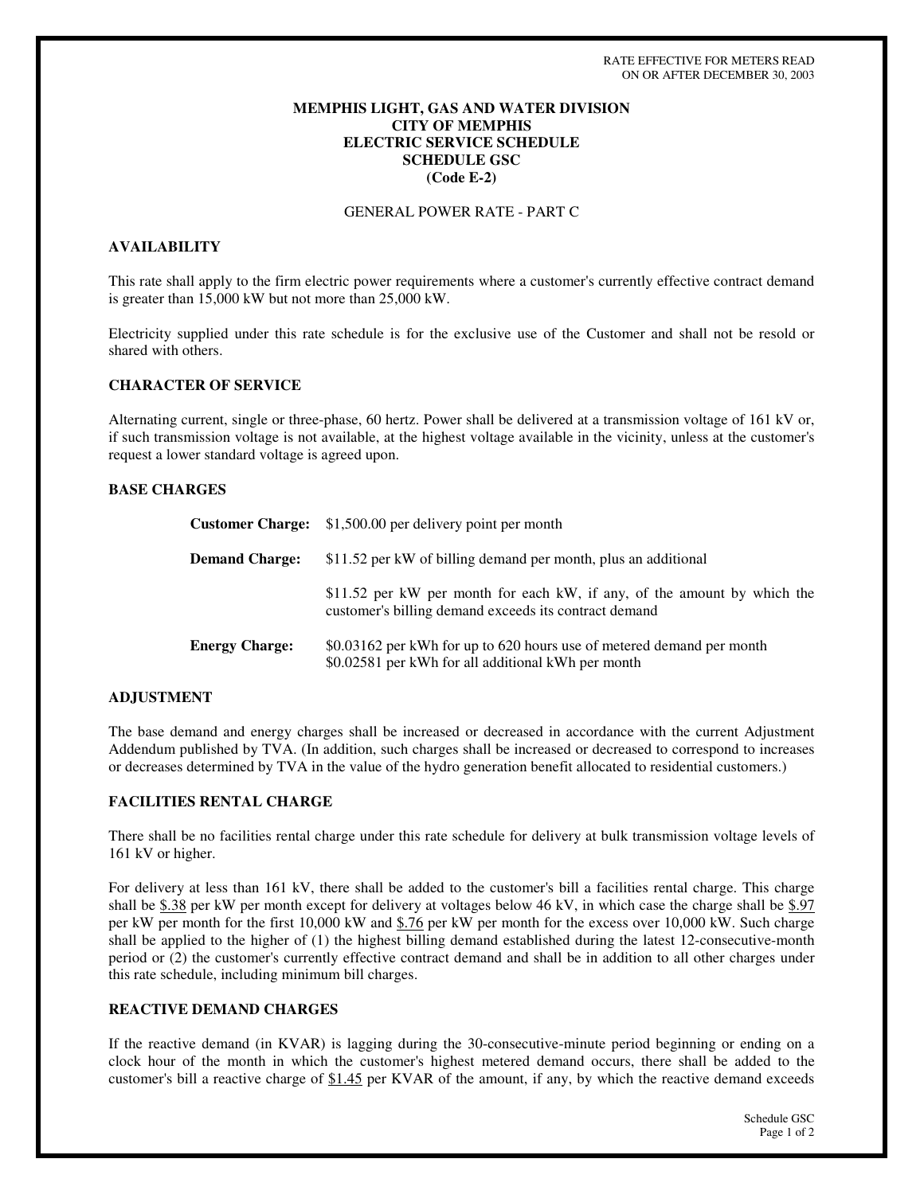### **MEMPHIS LIGHT, GAS AND WATER DIVISION CITY OF MEMPHIS ELECTRIC SERVICE SCHEDULE SCHEDULE GSC (Code E-2)**

### GENERAL POWER RATE - PART C

### **AVAILABILITY**

This rate shall apply to the firm electric power requirements where a customer's currently effective contract demand is greater than 15,000 kW but not more than 25,000 kW.

Electricity supplied under this rate schedule is for the exclusive use of the Customer and shall not be resold or shared with others.

#### **CHARACTER OF SERVICE**

Alternating current, single or three-phase, 60 hertz. Power shall be delivered at a transmission voltage of 161 kV or, if such transmission voltage is not available, at the highest voltage available in the vicinity, unless at the customer's request a lower standard voltage is agreed upon.

#### **BASE CHARGES**

|                       | <b>Customer Charge:</b> \$1,500.00 per delivery point per month                                                                   |
|-----------------------|-----------------------------------------------------------------------------------------------------------------------------------|
| <b>Demand Charge:</b> | \$11.52 per kW of billing demand per month, plus an additional                                                                    |
|                       | \$11.52 per kW per month for each kW, if any, of the amount by which the<br>customer's billing demand exceeds its contract demand |
| <b>Energy Charge:</b> | \$0.03162 per kWh for up to 620 hours use of metered demand per month<br>\$0.02581 per kWh for all additional kWh per month       |

#### **ADJUSTMENT**

The base demand and energy charges shall be increased or decreased in accordance with the current Adjustment Addendum published by TVA. (In addition, such charges shall be increased or decreased to correspond to increases or decreases determined by TVA in the value of the hydro generation benefit allocated to residential customers.)

## **FACILITIES RENTAL CHARGE**

There shall be no facilities rental charge under this rate schedule for delivery at bulk transmission voltage levels of 161 kV or higher.

For delivery at less than 161 kV, there shall be added to the customer's bill a facilities rental charge. This charge shall be \$.38 per kW per month except for delivery at voltages below 46 kV, in which case the charge shall be \$.97 per kW per month for the first 10,000 kW and \$.76 per kW per month for the excess over 10,000 kW. Such charge shall be applied to the higher of (1) the highest billing demand established during the latest 12-consecutive-month period or (2) the customer's currently effective contract demand and shall be in addition to all other charges under this rate schedule, including minimum bill charges.

### **REACTIVE DEMAND CHARGES**

If the reactive demand (in KVAR) is lagging during the 30-consecutive-minute period beginning or ending on a clock hour of the month in which the customer's highest metered demand occurs, there shall be added to the customer's bill a reactive charge of \$1.45 per KVAR of the amount, if any, by which the reactive demand exceeds